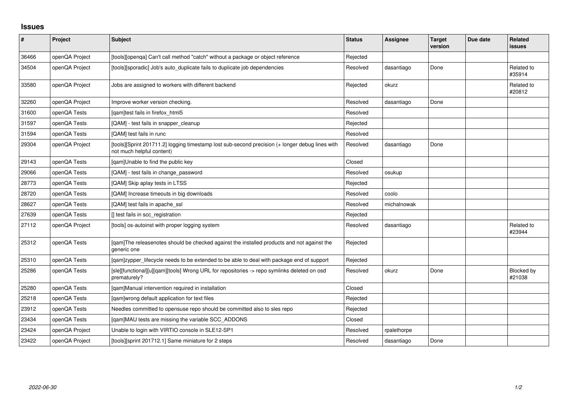## **Issues**

| $\vert$ # | Project        | <b>Subject</b>                                                                                                               | <b>Status</b> | <b>Assignee</b> | <b>Target</b><br>version | Due date | Related<br>issues    |
|-----------|----------------|------------------------------------------------------------------------------------------------------------------------------|---------------|-----------------|--------------------------|----------|----------------------|
| 36466     | openQA Project | [tools][openqa] Can't call method "catch" without a package or object reference                                              | Rejected      |                 |                          |          |                      |
| 34504     | openQA Project | [tools][sporadic] Job's auto_duplicate fails to duplicate job dependencies                                                   | Resolved      | dasantiago      | Done                     |          | Related to<br>#35914 |
| 33580     | openQA Project | Jobs are assigned to workers with different backend                                                                          | Rejected      | okurz           |                          |          | Related to<br>#20812 |
| 32260     | openQA Project | Improve worker version checking.                                                                                             | Resolved      | dasantiago      | Done                     |          |                      |
| 31600     | openQA Tests   | [qam]test fails in firefox_html5                                                                                             | Resolved      |                 |                          |          |                      |
| 31597     | openQA Tests   | [QAM] - test fails in snapper_cleanup                                                                                        | Rejected      |                 |                          |          |                      |
| 31594     | openQA Tests   | [QAM] test fails in runc                                                                                                     | Resolved      |                 |                          |          |                      |
| 29304     | openQA Project | [tools][Sprint 201711.2] logging timestamp lost sub-second precision (+ longer debug lines with<br>not much helpful content) | Resolved      | dasantiago      | Done                     |          |                      |
| 29143     | openQA Tests   | [qam]Unable to find the public key                                                                                           | Closed        |                 |                          |          |                      |
| 29066     | openQA Tests   | [QAM] - test fails in change_password                                                                                        | Resolved      | osukup          |                          |          |                      |
| 28773     | openQA Tests   | [QAM] Skip aplay tests in LTSS                                                                                               | Rejected      |                 |                          |          |                      |
| 28720     | openQA Tests   | [QAM] Increase timeouts in big downloads                                                                                     | Resolved      | coolo           |                          |          |                      |
| 28627     | openQA Tests   | [QAM] test fails in apache_ssl                                                                                               | Resolved      | michalnowak     |                          |          |                      |
| 27639     | openQA Tests   | [] test fails in scc_registration                                                                                            | Rejected      |                 |                          |          |                      |
| 27112     | openQA Project | [tools] os-autoinst with proper logging system                                                                               | Resolved      | dasantiago      |                          |          | Related to<br>#23944 |
| 25312     | openQA Tests   | [gam]The releasenotes should be checked against the installed products and not against the<br>generic one                    | Rejected      |                 |                          |          |                      |
| 25310     | openQA Tests   | [gam]zypper_lifecycle needs to be extended to be able to deal with package end of support                                    | Rejected      |                 |                          |          |                      |
| 25286     | openQA Tests   | [sle][functional][u][qam][tools] Wrong URL for repositories -> repo symlinks deleted on osd<br>prematurely?                  | Resolved      | okurz           | Done                     |          | Blocked by<br>#21038 |
| 25280     | openQA Tests   | [qam]Manual intervention required in installation                                                                            | Closed        |                 |                          |          |                      |
| 25218     | openQA Tests   | [qam]wrong default application for text files                                                                                | Rejected      |                 |                          |          |                      |
| 23912     | openQA Tests   | Needles committed to opensuse repo should be committed also to sles repo                                                     | Rejected      |                 |                          |          |                      |
| 23434     | openQA Tests   | [qam]MAU tests are missing the variable SCC_ADDONS                                                                           | Closed        |                 |                          |          |                      |
| 23424     | openQA Project | Unable to login with VIRTIO console in SLE12-SP1                                                                             | Resolved      | rpalethorpe     |                          |          |                      |
| 23422     | openQA Project | [tools][sprint 201712.1] Same miniature for 2 steps                                                                          | Resolved      | dasantiago      | Done                     |          |                      |